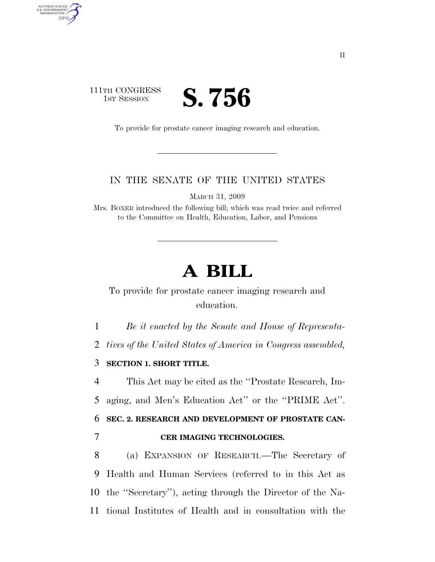## 111TH CONGRESS **IST SESSION S. 756**

AUTHENTICATED<br>U.S. GOVERNMENT<br>INFORMATION GPO

To provide for prostate cancer imaging research and education.

## IN THE SENATE OF THE UNITED STATES

MARCH 31, 2009

Mrs. BOXER introduced the following bill; which was read twice and referred to the Committee on Health, Education, Labor, and Pensions

## **A BILL**

To provide for prostate cancer imaging research and education.

1 *Be it enacted by the Senate and House of Representa-*

2 *tives of the United States of America in Congress assembled,* 

3 **SECTION 1. SHORT TITLE.** 

4 This Act may be cited as the ''Prostate Research, Im-5 aging, and Men's Education Act'' or the ''PRIME Act''.

6 **SEC. 2. RESEARCH AND DEVELOPMENT OF PROSTATE CAN-**7 **CER IMAGING TECHNOLOGIES.** 

 (a) EXPANSION OF RESEARCH.—The Secretary of Health and Human Services (referred to in this Act as the ''Secretary''), acting through the Director of the Na-tional Institutes of Health and in consultation with the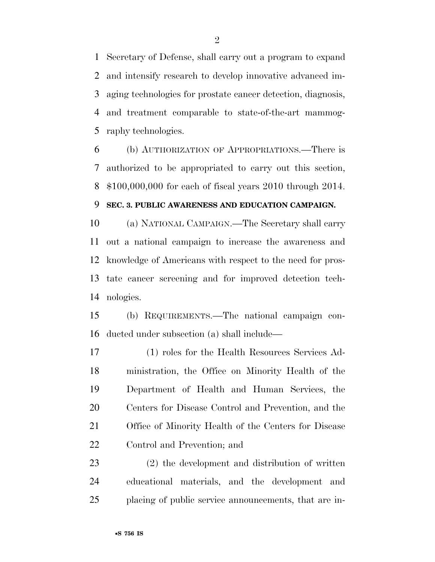Secretary of Defense, shall carry out a program to expand and intensify research to develop innovative advanced im- aging technologies for prostate cancer detection, diagnosis, and treatment comparable to state-of-the-art mammog-raphy technologies.

 (b) AUTHORIZATION OF APPROPRIATIONS.—There is authorized to be appropriated to carry out this section, \$100,000,000 for each of fiscal years 2010 through 2014.

## **SEC. 3. PUBLIC AWARENESS AND EDUCATION CAMPAIGN.**

 (a) NATIONAL CAMPAIGN.—The Secretary shall carry out a national campaign to increase the awareness and knowledge of Americans with respect to the need for pros- tate cancer screening and for improved detection tech-nologies.

 (b) REQUIREMENTS.—The national campaign con-ducted under subsection (a) shall include—

 (1) roles for the Health Resources Services Ad- ministration, the Office on Minority Health of the Department of Health and Human Services, the Centers for Disease Control and Prevention, and the Office of Minority Health of the Centers for Disease Control and Prevention; and

 (2) the development and distribution of written educational materials, and the development and placing of public service announcements, that are in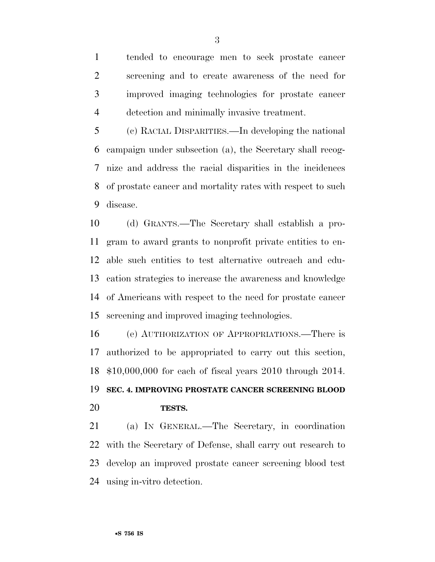tended to encourage men to seek prostate cancer screening and to create awareness of the need for improved imaging technologies for prostate cancer detection and minimally invasive treatment.

 (c) RACIAL DISPARITIES.—In developing the national campaign under subsection (a), the Secretary shall recog- nize and address the racial disparities in the incidences of prostate cancer and mortality rates with respect to such disease.

 (d) GRANTS.—The Secretary shall establish a pro- gram to award grants to nonprofit private entities to en- able such entities to test alternative outreach and edu- cation strategies to increase the awareness and knowledge of Americans with respect to the need for prostate cancer screening and improved imaging technologies.

 (e) AUTHORIZATION OF APPROPRIATIONS.—There is authorized to be appropriated to carry out this section, \$10,000,000 for each of fiscal years 2010 through 2014. **SEC. 4. IMPROVING PROSTATE CANCER SCREENING BLOOD TESTS.** 

 (a) IN GENERAL.—The Secretary, in coordination with the Secretary of Defense, shall carry out research to develop an improved prostate cancer screening blood test using in-vitro detection.